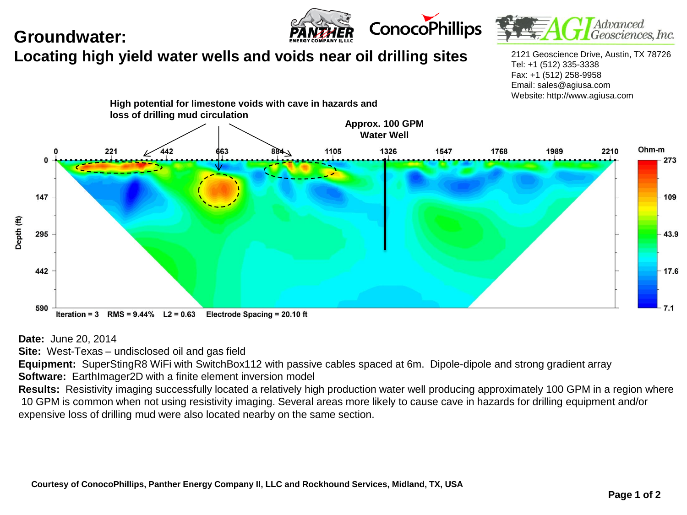## **Groundwater:**





## **Locating high yield water wells and voids near oil drilling sites**

2121 Geoscience Drive, Austin, TX 78726 Tel: +1 (512) 335-3338 Fax: +1 (512) 258-9958 Email: sales@agiusa.com Website: http://www.agiusa.com



**Date:** June 20, 2014

**Site:** West-Texas – undisclosed oil and gas field

**Equipment:** SuperStingR8 WiFi with SwitchBox112 with passive cables spaced at 6m. Dipole-dipole and strong gradient array **Software:** EarthImager2D with a finite element inversion model

Results: Resistivity imaging successfully located a relatively high production water well producing approximately 100 GPM in a region where 10 GPM is common when not using resistivity imaging. Several areas more likely to cause cave in hazards for drilling equipment and/or expensive loss of drilling mud were also located nearby on the same section.